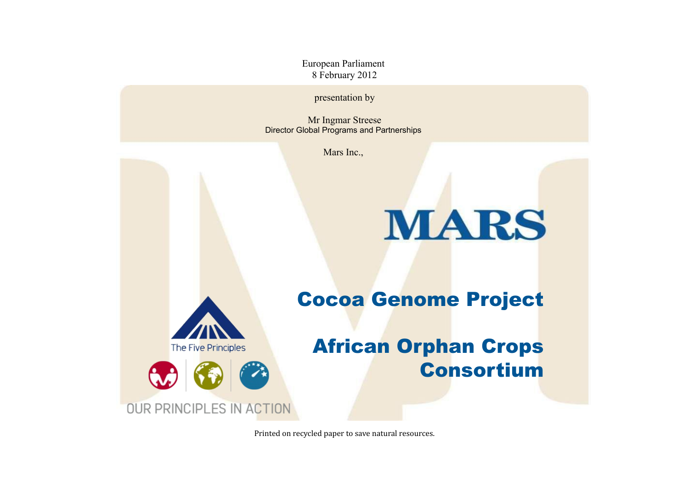European Parliament 8 February 2012

presentation by

Mr Ingmar Streese Director Global Programs and Partnerships

Mars Inc.,

# **MARS**



Cocoa Genome Project

#### African Orphan Crops Consortium

Printed on recycled paper to save natural resources.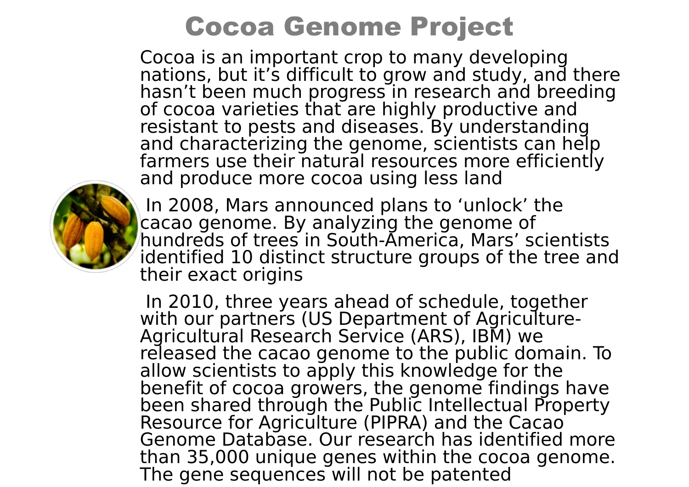## Cocoa Genome Project

Cocoa is an important crop to many developing nations, but it's difficult to grow and study, and there hasn't been much progress in research and breeding of cocoa varieties that are highly productive and resistant to pests and diseases. By understanding and characterizing the genome, scientists can help farmers use their natural resources more efficiently and produce more cocoa using less land



In 2008, Mars announced plans to 'unlock' the cacao genome. By analyzing the genome of hundreds of trees in South-America, Mars' scientists identified 10 distinct structure groups of the tree and their exact origins

In 2010, three years ahead of schedule, together with our partners (US Department of Agriculture-Agricultural Research Service (ARS), IBM) we released the cacao genome to the public domain. To allow scientists to apply this knowledge for the benefit of cocoa growers, the genome findings have been shared through the Public Intellectual Property Resource for Agriculture (PIPRA) and the Cacao Genome Database. Our research has identified more than 35,000 unique genes within the cocoa genome. The gene sequences will not be patented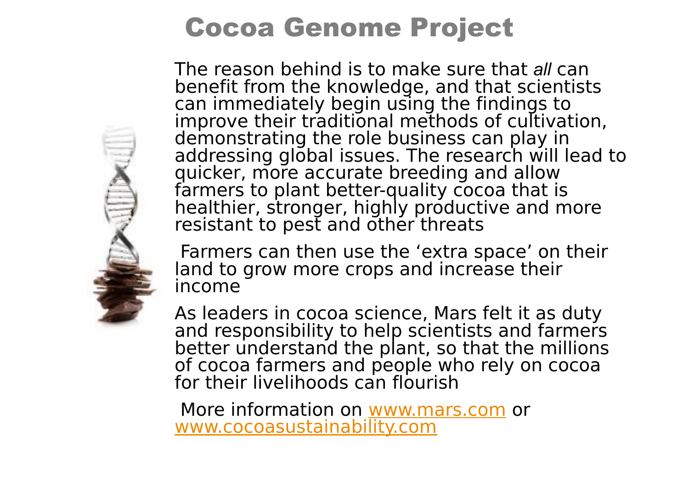## Cocoa Genome Project

The reason behind is to make sure that *all* can benefit from the knowledge, and that scientists can immediately begin using the findings to improve their traditional methods of cultivation, demonstrating the role business can play in addressing global issues. The research will lead to quicker, more accurate breeding and allow farmers to plant better-quality cocoa that is healthier, stronger, highly productive and more resistant to pest and other threats

Farmers can then use the 'extra space' on their land to grow more crops and increase their income

As leaders in cocoa science, Mars felt it as duty and responsibility to help scientists and farmers better understand the plant, so that the millions of cocoa farmers and people who rely on cocoa for their livelihoods can flourish

More information on [www.mars.com](http://www.mars.com/) or [www.cocoasustainability.com](http://www.cocoasustainability.com/)

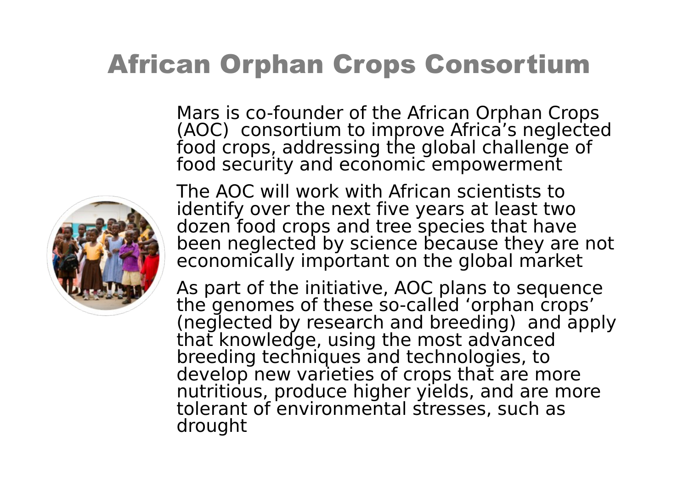#### African Orphan Crops Consortium

Mars is co-founder of the African Orphan Crops (AOC) consortium to improve Africa's neglected food crops, addressing the global challenge of food security and economic empowerment



The AOC will work with African scientists to identify over the next five years at least two dozen food crops and tree species that have been neglected by science because they are not economically important on the global market

As part of the initiative, AOC plans to sequence the genomes of these so-called 'orphan crops' (neglected by research and breeding) and apply that knowledge, using the most advanced breeding techniques and technologies, to develop new varieties of crops that are more nutritious, produce higher yields, and are more tolerant of environmental stresses, such as drought